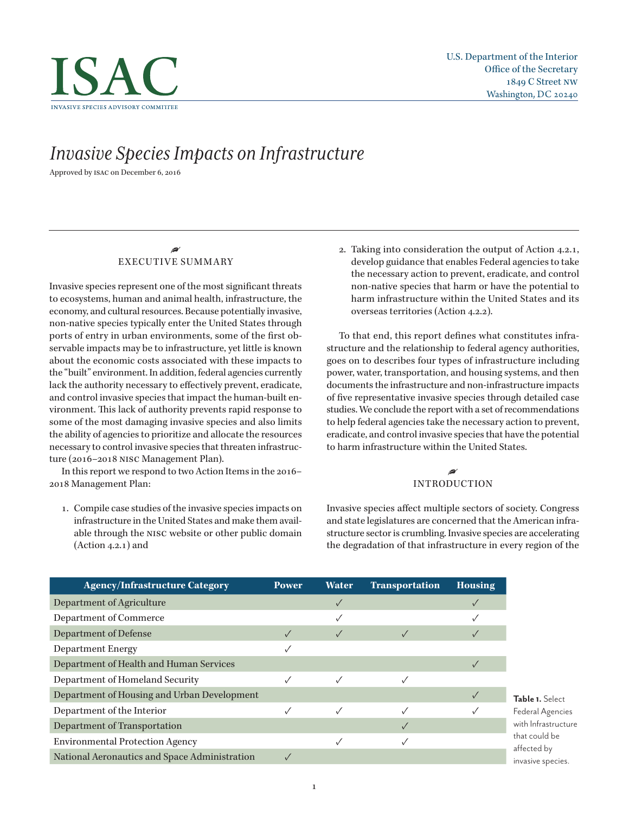

# *Invasive Species Impacts on Infrastructure*

Approved by isac on December 6, 2016

## • EXECUTIVE SUMMARY

Invasive species represent one of the most significant threats to ecosystems, human and animal health, infrastructure, the economy, and cultural resources. Because potentially invasive, non-native species typically enter the United States through ports of entry in urban environments, some of the first observable impacts may be to infrastructure, yet little is known about the economic costs associated with these impacts to the "built" environment. In addition, federal agencies currently lack the authority necessary to effectively prevent, eradicate, and control invasive species that impact the human-built environment. This lack of authority prevents rapid response to some of the most damaging invasive species and also limits the ability of agencies to prioritize and allocate the resources necessary to control invasive species that threaten infrastructure (2016–2018 nisc Management Plan).

In this report we respond to two Action Items in the 2016– 2018 Management Plan:

1. Compile case studies of the invasive species impacts on infrastructure in the United States and make them available through the nisc website or other public domain (Action 4.2.1) and

2. Taking into consideration the output of Action 4.2.1, develop guidance that enables Federal agencies to take the necessary action to prevent, eradicate, and control non-native species that harm or have the potential to harm infrastructure within the United States and its overseas territories (Action 4.2.2).

To that end, this report defines what constitutes infrastructure and the relationship to federal agency authorities, goes on to describes four types of infrastructure including power, water, transportation, and housing systems, and then documents the infrastructure and non-infrastructure impacts of five representative invasive species through detailed case studies. We conclude the report with a set of recommendations to help federal agencies take the necessary action to prevent, eradicate, and control invasive species that have the potential to harm infrastructure within the United States.

## • INTRODUCTION

Invasive species affect multiple sectors of society. Congress and state legislatures are concerned that the American infrastructure sector is crumbling. Invasive species are accelerating the degradation of that infrastructure in every region of the

| <b>Agency/Infrastructure Category</b>         | <b>Power</b> | <b>Water</b> | <b>Transportation</b> | <b>Housing</b> |
|-----------------------------------------------|--------------|--------------|-----------------------|----------------|
| Department of Agriculture                     |              |              |                       |                |
| Department of Commerce                        |              |              |                       |                |
| <b>Department of Defense</b>                  |              |              |                       |                |
| <b>Department Energy</b>                      |              |              |                       |                |
| Department of Health and Human Services       |              |              |                       |                |
| Department of Homeland Security               |              |              |                       |                |
| Department of Housing and Urban Development   |              |              |                       |                |
| Department of the Interior                    |              |              |                       |                |
| Department of Transportation                  |              |              |                       |                |
| <b>Environmental Protection Agency</b>        |              |              |                       |                |
| National Aeronautics and Space Administration |              |              |                       |                |

**Table 1.** Select Federal Agencies with Infrastructure hat could be ffected by nvasive species.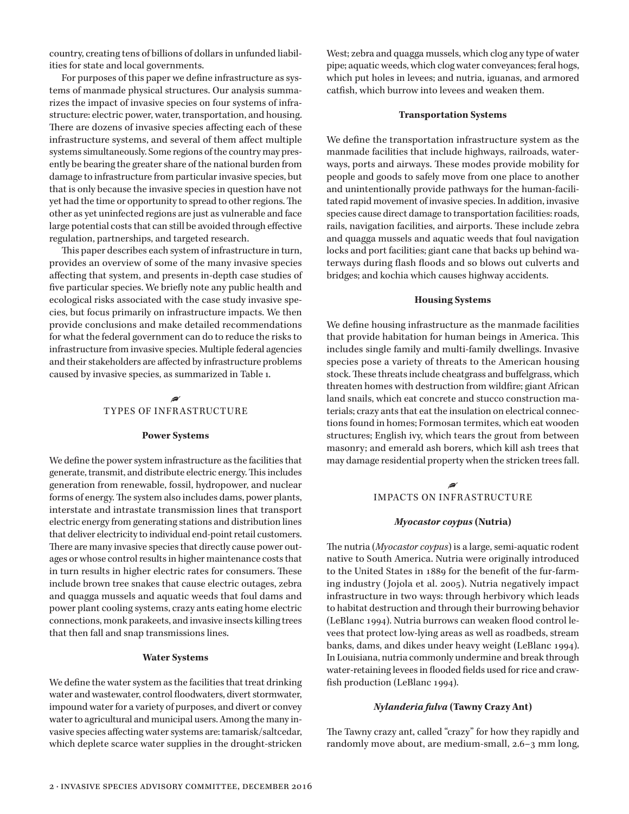country, creating tens of billions of dollars in unfunded liabilities for state and local governments.

For purposes of this paper we define infrastructure as systems of manmade physical structures. Our analysis summarizes the impact of invasive species on four systems of infrastructure: electric power, water, transportation, and housing. There are dozens of invasive species affecting each of these infrastructure systems, and several of them affect multiple systems simultaneously. Some regions of the country may presently be bearing the greater share of the national burden from damage to infrastructure from particular invasive species, but that is only because the invasive species in question have not yet had the time or opportunity to spread to other regions. The other as yet uninfected regions are just as vulnerable and face large potential costs that can still be avoided through effective regulation, partnerships, and targeted research.

This paper describes each system of infrastructure in turn, provides an overview of some of the many invasive species affecting that system, and presents in-depth case studies of five particular species. We briefly note any public health and ecological risks associated with the case study invasive species, but focus primarily on infrastructure impacts. We then provide conclusions and make detailed recommendations for what the federal government can do to reduce the risks to infrastructure from invasive species. Multiple federal agencies and their stakeholders are affected by infrastructure problems caused by invasive species, as summarized in Table 1.

## • TYPES OF INFRASTRUCTURE

#### **Power Systems**

We define the power system infrastructure as the facilities that generate, transmit, and distribute electric energy. This includes generation from renewable, fossil, hydropower, and nuclear forms of energy. The system also includes dams, power plants, interstate and intrastate transmission lines that transport electric energy from generating stations and distribution lines that deliver electricity to individual end-point retail customers. There are many invasive species that directly cause power outages or whose control results in higher maintenance costs that in turn results in higher electric rates for consumers. These include brown tree snakes that cause electric outages, zebra and quagga mussels and aquatic weeds that foul dams and power plant cooling systems, crazy ants eating home electric connections, monk parakeets, and invasive insects killing trees that then fall and snap transmissions lines.

## **Water Systems**

We define the water system as the facilities that treat drinking water and wastewater, control floodwaters, divert stormwater, impound water for a variety of purposes, and divert or convey water to agricultural and municipal users. Among the many invasive species affecting water systems are: tamarisk/saltcedar, which deplete scarce water supplies in the drought-stricken

West; zebra and quagga mussels, which clog any type of water pipe; aquatic weeds, which clog water conveyances; feral hogs, which put holes in levees; and nutria, iguanas, and armored catfish, which burrow into levees and weaken them.

#### **Transportation Systems**

We define the transportation infrastructure system as the manmade facilities that include highways, railroads, waterways, ports and airways. These modes provide mobility for people and goods to safely move from one place to another and unintentionally provide pathways for the human-facilitated rapid movement of invasive species. In addition, invasive species cause direct damage to transportation facilities: roads, rails, navigation facilities, and airports. These include zebra and quagga mussels and aquatic weeds that foul navigation locks and port facilities; giant cane that backs up behind waterways during flash floods and so blows out culverts and bridges; and kochia which causes highway accidents.

## **Housing Systems**

We define housing infrastructure as the manmade facilities that provide habitation for human beings in America. This includes single family and multi-family dwellings. Invasive species pose a variety of threats to the American housing stock. These threats include cheatgrass and buffelgrass, which threaten homes with destruction from wildfire; giant African land snails, which eat concrete and stucco construction materials; crazy ants that eat the insulation on electrical connections found in homes; Formosan termites, which eat wooden structures; English ivy, which tears the grout from between masonry; and emerald ash borers, which kill ash trees that may damage residential property when the stricken trees fall.

### • IMPACTS ON INFR ASTRUCTURE

#### *Myocastor coypus* **(Nutria)**

The nutria (*Myocastor coypus*) is a large, semi-aquatic rodent native to South America. Nutria were originally introduced to the United States in 1889 for the benefit of the fur-farming industry (Jojola et al. 2005). Nutria negatively impact infrastructure in two ways: through herbivory which leads to habitat destruction and through their burrowing behavior (LeBlanc 1994). Nutria burrows can weaken flood control levees that protect low-lying areas as well as roadbeds, stream banks, dams, and dikes under heavy weight (LeBlanc 1994). In Louisiana, nutria commonly undermine and break through water-retaining levees in flooded fields used for rice and crawfish production (LeBlanc 1994).

## *Nylanderia fulva* **(Tawny Crazy Ant)**

The Tawny crazy ant, called "crazy" for how they rapidly and randomly move about, are medium-small, 2.6–3 mm long,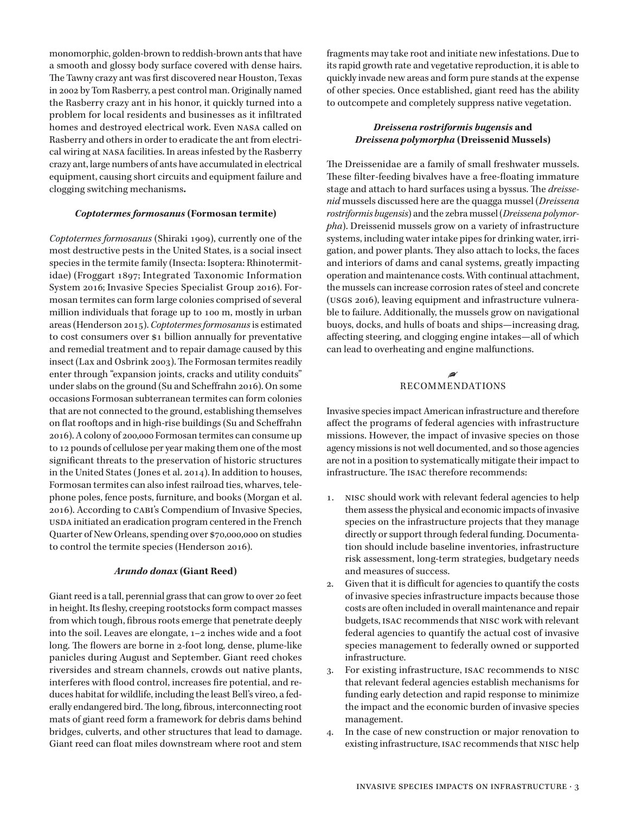monomorphic, golden-brown to reddish-brown ants that have a smooth and glossy body surface covered with dense hairs. The Tawny crazy ant was first discovered near Houston, Texas in 2002 by Tom Rasberry, a pest control man. Originally named the Rasberry crazy ant in his honor, it quickly turned into a problem for local residents and businesses as it infiltrated homes and destroyed electrical work. Even nasa called on Rasberry and others in order to eradicate the ant from electrical wiring at nasa facilities. In areas infested by the Rasberry crazy ant, large numbers of ants have accumulated in electrical equipment, causing short circuits and equipment failure and clogging switching mechanisms**.** 

## *Coptotermes formosanus* **(Formosan termite)**

*Coptotermes formosanus* (Shiraki 1909), currently one of the most destructive pests in the United States, is a social insect species in the termite family (Insecta: Isoptera: Rhinotermitidae) (Froggart 1897; Integrated Taxonomic Information System 2016; Invasive Species Specialist Group 2016). Formosan termites can form large colonies comprised of several million individuals that forage up to 100 m, mostly in urban areas (Henderson 2015). *Coptotermes formosanus* is estimated to cost consumers over \$1 billion annually for preventative and remedial treatment and to repair damage caused by this insect (Lax and Osbrink 2003). The Formosan termites readily enter through "expansion joints, cracks and utility conduits" under slabs on the ground (Su and Scheffrahn 2016). On some occasions Formosan subterranean termites can form colonies that are not connected to the ground, establishing themselves on flat rooftops and in high-rise buildings (Su and Scheffrahn 2016). A colony of 200,000 Formosan termites can consume up to 12 pounds of cellulose per year making them one of the most significant threats to the preservation of historic structures in the United States (Jones et al. 2014). In addition to houses, Formosan termites can also infest railroad ties, wharves, telephone poles, fence posts, furniture, and books (Morgan et al. 2016). According to cabi's Compendium of Invasive Species, usda initiated an eradication program centered in the French Quarter of New Orleans, spending over \$70,000,000 on studies to control the termite species (Henderson 2016).

## *Arundo donax* **(Giant Reed)**

Giant reed is a tall, perennial grass that can grow to over 20 feet in height. Its fleshy, creeping rootstocks form compact masses from which tough, fibrous roots emerge that penetrate deeply into the soil. Leaves are elongate, 1–2 inches wide and a foot long. The flowers are borne in 2-foot long, dense, plume-like panicles during August and September. Giant reed chokes riversides and stream channels, crowds out native plants, interferes with flood control, increases fire potential, and reduces habitat for wildlife, including the least Bell's vireo, a federally endangered bird. The long, fibrous, interconnecting root mats of giant reed form a framework for debris dams behind bridges, culverts, and other structures that lead to damage. Giant reed can float miles downstream where root and stem

fragments may take root and initiate new infestations. Due to its rapid growth rate and vegetative reproduction, it is able to quickly invade new areas and form pure stands at the expense of other species. Once established, giant reed has the ability to outcompete and completely suppress native vegetation.

# *Dreissena rostriformis bugensis* **and** *Dreissena polymorpha* **(Dreissenid Mussels)**

The Dreissenidae are a family of small freshwater mussels. These filter-feeding bivalves have a free-floating immature stage and attach to hard surfaces using a byssus. The *dreissenid* mussels discussed here are the quagga mussel (*Dreissena rostriformis bugensis*) and the zebra mussel (*Dreissena polymorpha*). Dreissenid mussels grow on a variety of infrastructure systems, including water intake pipes for drinking water, irrigation, and power plants. They also attach to locks, the faces and interiors of dams and canal systems, greatly impacting operation and maintenance costs. With continual attachment, the mussels can increase corrosion rates of steel and concrete (usgs 2016), leaving equipment and infrastructure vulnerable to failure. Additionally, the mussels grow on navigational buoys, docks, and hulls of boats and ships—increasing drag, affecting steering, and clogging engine intakes—all of which can lead to overheating and engine malfunctions.

## • RECOMMENDATIONS

Invasive species impact American infrastructure and therefore affect the programs of federal agencies with infrastructure missions. However, the impact of invasive species on those agency missions is not well documented, and so those agencies are not in a position to systematically mitigate their impact to infrastructure. The isac therefore recommends:

- 1. nisc should work with relevant federal agencies to help them assess the physical and economic impacts of invasive species on the infrastructure projects that they manage directly or support through federal funding. Documentation should include baseline inventories, infrastructure risk assessment, long-term strategies, budgetary needs and measures of success.
- 2. Given that it is difficult for agencies to quantify the costs of invasive species infrastructure impacts because those costs are often included in overall maintenance and repair budgets, isac recommends that nisc work with relevant federal agencies to quantify the actual cost of invasive species management to federally owned or supported infrastructure.
- 3. For existing infrastructure, isac recommends to nisc that relevant federal agencies establish mechanisms for funding early detection and rapid response to minimize the impact and the economic burden of invasive species management.
- 4. In the case of new construction or major renovation to existing infrastructure, isac recommends that nisc help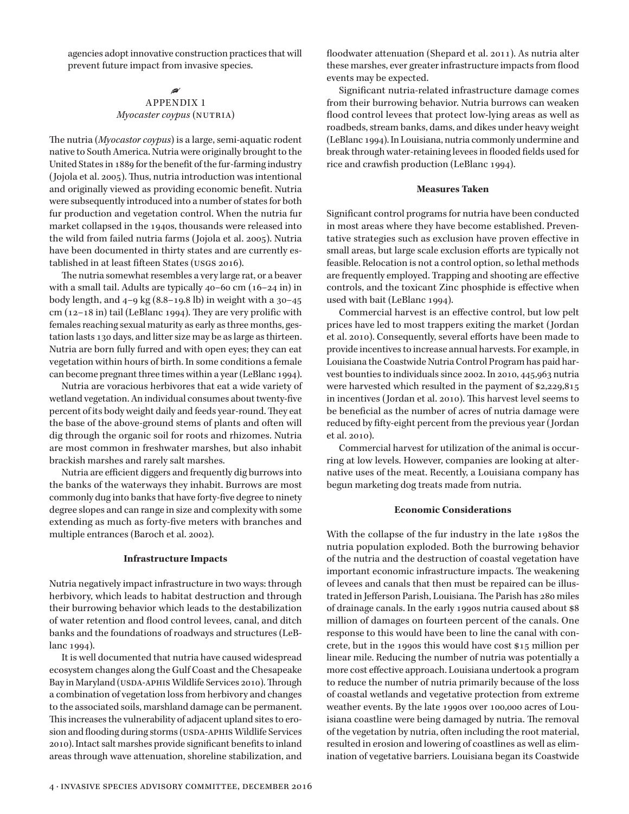agencies adopt innovative construction practices that will prevent future impact from invasive species.

## • APPENDIX 1 *Myocaster coypus* (NUTRIA)

The nutria (*Myocastor coypus*) is a large, semi-aquatic rodent native to South America. Nutria were originally brought to the United States in 1889 for the benefit of the fur-farming industry (Jojola et al. 2005). Thus, nutria introduction was intentional and originally viewed as providing economic benefit. Nutria were subsequently introduced into a number of states for both fur production and vegetation control. When the nutria fur market collapsed in the 1940s, thousands were released into the wild from failed nutria farms (Jojola et al. 2005). Nutria have been documented in thirty states and are currently established in at least fifteen States (usgs 2016).

The nutria somewhat resembles a very large rat, or a beaver with a small tail. Adults are typically 40–60 cm (16–24 in) in body length, and  $4-9$  kg  $(8.8-19.8)$  in weight with a  $30-45$ cm  $(12-18$  in) tail (LeBlanc 1994). They are very prolific with females reaching sexual maturity as early as three months, gestation lasts 130 days, and litter size may be as large as thirteen. Nutria are born fully furred and with open eyes; they can eat vegetation within hours of birth. In some conditions a female can become pregnant three times within a year (LeBlanc 1994).

Nutria are voracious herbivores that eat a wide variety of wetland vegetation. An individual consumes about twenty-five percent of its body weight daily and feeds year-round. They eat the base of the above-ground stems of plants and often will dig through the organic soil for roots and rhizomes. Nutria are most common in freshwater marshes, but also inhabit brackish marshes and rarely salt marshes.

Nutria are efficient diggers and frequently dig burrows into the banks of the waterways they inhabit. Burrows are most commonly dug into banks that have forty-five degree to ninety degree slopes and can range in size and complexity with some extending as much as forty-five meters with branches and multiple entrances (Baroch et al. 2002).

## **Infrastructure Impacts**

Nutria negatively impact infrastructure in two ways: through herbivory, which leads to habitat destruction and through their burrowing behavior which leads to the destabilization of water retention and flood control levees, canal, and ditch banks and the foundations of roadways and structures (LeBlanc 1994).

It is well documented that nutria have caused widespread ecosystem changes along the Gulf Coast and the Chesapeake Bay in Maryland (USDA-APHIS Wildlife Services 2010). Through a combination of vegetation loss from herbivory and changes to the associated soils, marshland damage can be permanent. This increases the vulnerability of adjacent upland sites to erosion and flooding during storms (USDA-APHIS Wildlife Services 2010). Intact salt marshes provide significant benefits to inland areas through wave attenuation, shoreline stabilization, and floodwater attenuation (Shepard et al. 2011). As nutria alter these marshes, ever greater infrastructure impacts from flood events may be expected.

Significant nutria-related infrastructure damage comes from their burrowing behavior. Nutria burrows can weaken flood control levees that protect low-lying areas as well as roadbeds, stream banks, dams, and dikes under heavy weight (LeBlanc 1994). In Louisiana, nutria commonly undermine and break through water-retaining levees in flooded fields used for rice and crawfish production (LeBlanc 1994).

#### **Measures Taken**

Significant control programs for nutria have been conducted in most areas where they have become established. Preventative strategies such as exclusion have proven effective in small areas, but large scale exclusion efforts are typically not feasible. Relocation is not a control option, so lethal methods are frequently employed. Trapping and shooting are effective controls, and the toxicant Zinc phosphide is effective when used with bait (LeBlanc 1994).

Commercial harvest is an effective control, but low pelt prices have led to most trappers exiting the market (Jordan et al. 2010). Consequently, several efforts have been made to provide incentives to increase annual harvests. For example, in Louisiana the Coastwide Nutria Control Program has paid harvest bounties to individuals since 2002. In 2010, 445,963 nutria were harvested which resulted in the payment of \$2,229,815 in incentives (Jordan et al. 2010). This harvest level seems to be beneficial as the number of acres of nutria damage were reduced by fifty-eight percent from the previous year (Jordan et al. 2010).

Commercial harvest for utilization of the animal is occurring at low levels. However, companies are looking at alternative uses of the meat. Recently, a Louisiana company has begun marketing dog treats made from nutria.

#### **Economic Considerations**

With the collapse of the fur industry in the late 1980s the nutria population exploded. Both the burrowing behavior of the nutria and the destruction of coastal vegetation have important economic infrastructure impacts. The weakening of levees and canals that then must be repaired can be illustrated in Jefferson Parish, Louisiana. The Parish has 280 miles of drainage canals. In the early 1990s nutria caused about \$8 million of damages on fourteen percent of the canals. One response to this would have been to line the canal with concrete, but in the 1990s this would have cost \$15 million per linear mile. Reducing the number of nutria was potentially a more cost effective approach. Louisiana undertook a program to reduce the number of nutria primarily because of the loss of coastal wetlands and vegetative protection from extreme weather events. By the late 1990s over 100,000 acres of Louisiana coastline were being damaged by nutria. The removal of the vegetation by nutria, often including the root material, resulted in erosion and lowering of coastlines as well as elimination of vegetative barriers. Louisiana began its Coastwide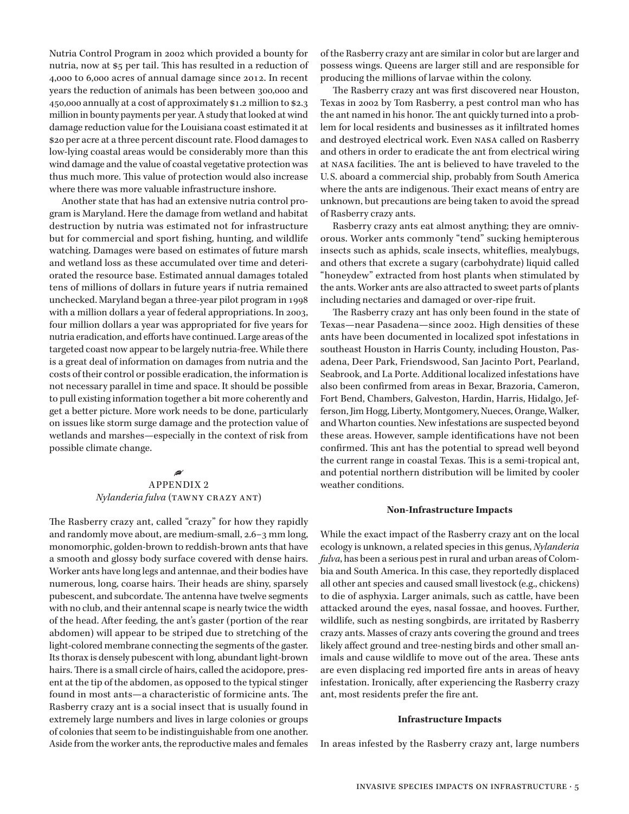Nutria Control Program in 2002 which provided a bounty for nutria, now at \$5 per tail. This has resulted in a reduction of 4,000 to 6,000 acres of annual damage since 2012. In recent years the reduction of animals has been between 300,000 and 450,000 annually at a cost of approximately \$1.2 million to \$2.3 million in bounty payments per year. A study that looked at wind damage reduction value for the Louisiana coast estimated it at \$20 per acre at a three percent discount rate. Flood damages to low-lying coastal areas would be considerably more than this wind damage and the value of coastal vegetative protection was thus much more. This value of protection would also increase where there was more valuable infrastructure inshore.

Another state that has had an extensive nutria control program is Maryland. Here the damage from wetland and habitat destruction by nutria was estimated not for infrastructure but for commercial and sport fishing, hunting, and wildlife watching. Damages were based on estimates of future marsh and wetland loss as these accumulated over time and deteriorated the resource base. Estimated annual damages totaled tens of millions of dollars in future years if nutria remained unchecked. Maryland began a three-year pilot program in 1998 with a million dollars a year of federal appropriations. In 2003, four million dollars a year was appropriated for five years for nutria eradication, and efforts have continued. Large areas of the targeted coast now appear to be largely nutria-free. While there is a great deal of information on damages from nutria and the costs of their control or possible eradication, the information is not necessary parallel in time and space. It should be possible to pull existing information together a bit more coherently and get a better picture. More work needs to be done, particularly on issues like storm surge damage and the protection value of wetlands and marshes—especially in the context of risk from possible climate change.

## • APPENDIX 2  $Nylanderia fulva$  (TAWNY CRAZY ANT)

The Rasberry crazy ant, called "crazy" for how they rapidly and randomly move about, are medium-small, 2.6–3 mm long, monomorphic, golden-brown to reddish-brown ants that have a smooth and glossy body surface covered with dense hairs. Worker ants have long legs and antennae, and their bodies have numerous, long, coarse hairs. Their heads are shiny, sparsely pubescent, and subcordate. The antenna have twelve segments with no club, and their antennal scape is nearly twice the width of the head. After feeding, the ant's gaster (portion of the rear abdomen) will appear to be striped due to stretching of the light-colored membrane connecting the segments of the gaster. Its thorax is densely pubescent with long, abundant light-brown hairs. There is a small circle of hairs, called the acidopore, present at the tip of the abdomen, as opposed to the typical stinger found in most ants—a characteristic of formicine ants. The Rasberry crazy ant is a social insect that is usually found in extremely large numbers and lives in large colonies or groups of colonies that seem to be indistinguishable from one another. Aside from the worker ants, the reproductive males and females

of the Rasberry crazy ant are similar in color but are larger and possess wings. Queens are larger still and are responsible for producing the millions of larvae within the colony.

The Rasberry crazy ant was first discovered near Houston, Texas in 2002 by Tom Rasberry, a pest control man who has the ant named in his honor. The ant quickly turned into a problem for local residents and businesses as it infiltrated homes and destroyed electrical work. Even nasa called on Rasberry and others in order to eradicate the ant from electrical wiring at nasa facilities. The ant is believed to have traveled to the U. S. aboard a commercial ship, probably from South America where the ants are indigenous. Their exact means of entry are unknown, but precautions are being taken to avoid the spread of Rasberry crazy ants.

Rasberry crazy ants eat almost anything; they are omnivorous. Worker ants commonly "tend" sucking hemipterous insects such as aphids, scale insects, whiteflies, mealybugs, and others that excrete a sugary (carbohydrate) liquid called "honeydew" extracted from host plants when stimulated by the ants. Worker ants are also attracted to sweet parts of plants including nectaries and damaged or over-ripe fruit.

The Rasberry crazy ant has only been found in the state of Texas—near Pasadena—since 2002. High densities of these ants have been documented in localized spot infestations in southeast Houston in Harris County, including Houston, Pasadena, Deer Park, Friendswood, San Jacinto Port, Pearland, Seabrook, and La Porte. Additional localized infestations have also been confirmed from areas in Bexar, Brazoria, Cameron, Fort Bend, Chambers, Galveston, Hardin, Harris, Hidalgo, Jefferson, Jim Hogg, Liberty, Montgomery, Nueces, Orange, Walker, and Wharton counties. New infestations are suspected beyond these areas. However, sample identifications have not been confirmed. This ant has the potential to spread well beyond the current range in coastal Texas. This is a semi-tropical ant, and potential northern distribution will be limited by cooler weather conditions.

#### **Non-Infrastructure Impacts**

While the exact impact of the Rasberry crazy ant on the local ecology is unknown, a related species in this genus, *Nylanderia fulva*, has been a serious pest in rural and urban areas of Colombia and South America. In this case, they reportedly displaced all other ant species and caused small livestock (e.g., chickens) to die of asphyxia. Larger animals, such as cattle, have been attacked around the eyes, nasal fossae, and hooves. Further, wildlife, such as nesting songbirds, are irritated by Rasberry crazy ants. Masses of crazy ants covering the ground and trees likely affect ground and tree-nesting birds and other small animals and cause wildlife to move out of the area. These ants are even displacing red imported fire ants in areas of heavy infestation. Ironically, after experiencing the Rasberry crazy ant, most residents prefer the fire ant.

#### **Infrastructure Impacts**

In areas infested by the Rasberry crazy ant, large numbers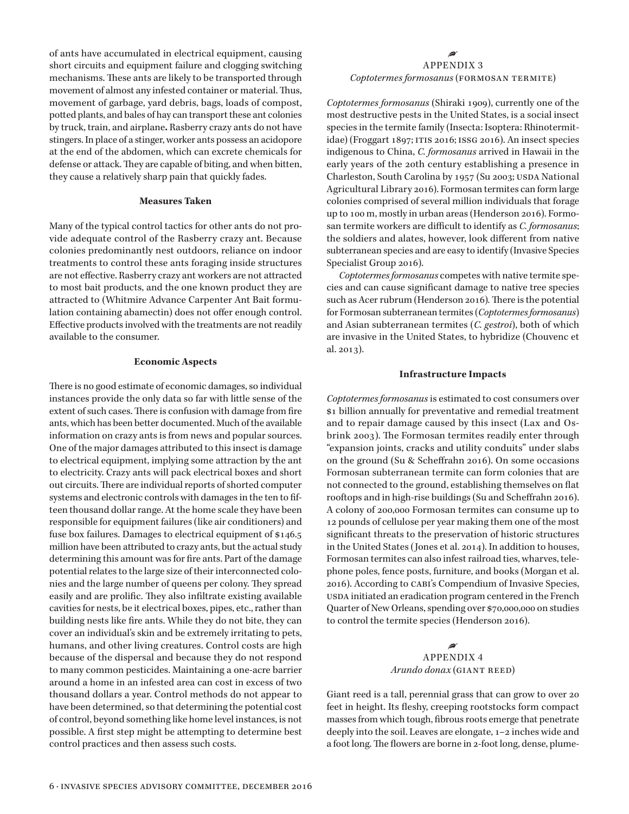of ants have accumulated in electrical equipment, causing short circuits and equipment failure and clogging switching mechanisms. These ants are likely to be transported through movement of almost any infested container or material. Thus, movement of garbage, yard debris, bags, loads of compost, potted plants, and bales of hay can transport these ant colonies by truck, train, and airplane**.** Rasberry crazy ants do not have stingers. In place of a stinger, worker ants possess an acidopore at the end of the abdomen, which can excrete chemicals for defense or attack. They are capable of biting, and when bitten, they cause a relatively sharp pain that quickly fades.

## **Measures Taken**

Many of the typical control tactics for other ants do not provide adequate control of the Rasberry crazy ant. Because colonies predominantly nest outdoors, reliance on indoor treatments to control these ants foraging inside structures are not effective. Rasberry crazy ant workers are not attracted to most bait products, and the one known product they are attracted to (Whitmire Advance Carpenter Ant Bait formulation containing abamectin) does not offer enough control. Effective products involved with the treatments are not readily available to the consumer.

## **Economic Aspects**

There is no good estimate of economic damages, so individual instances provide the only data so far with little sense of the extent of such cases. There is confusion with damage from fire ants, which has been better documented. Much of the available information on crazy ants is from news and popular sources. One of the major damages attributed to this insect is damage to electrical equipment, implying some attraction by the ant to electricity. Crazy ants will pack electrical boxes and short out circuits. There are individual reports of shorted computer systems and electronic controls with damages in the ten to fifteen thousand dollar range. At the home scale they have been responsible for equipment failures (like air conditioners) and fuse box failures. Damages to electrical equipment of \$146.5 million have been attributed to crazy ants, but the actual study determining this amount was for fire ants. Part of the damage potential relates to the large size of their interconnected colonies and the large number of queens per colony. They spread easily and are prolific. They also infiltrate existing available cavities for nests, be it electrical boxes, pipes, etc., rather than building nests like fire ants. While they do not bite, they can cover an individual's skin and be extremely irritating to pets, humans, and other living creatures. Control costs are high because of the dispersal and because they do not respond to many common pesticides. Maintaining a one-acre barrier around a home in an infested area can cost in excess of two thousand dollars a year. Control methods do not appear to have been determined, so that determining the potential cost of control, beyond something like home level instances, is not possible. A first step might be attempting to determine best control practices and then assess such costs.

# • APPENDIX 3 *Coptotermes formosanus* (formosan termite)

*Coptotermes formosanus* (Shiraki 1909), currently one of the most destructive pests in the United States, is a social insect species in the termite family (Insecta: Isoptera: Rhinotermitidae) (Froggart 1897; itis 2016; issg 2016). An insect species indigenous to China, *C. formosanus* arrived in Hawaii in the early years of the 20th century establishing a presence in Charleston, South Carolina by 1957 (Su 2003; USDA National Agricultural Library 2016). Formosan termites can form large colonies comprised of several million individuals that forage up to 100 m, mostly in urban areas (Henderson 2016). Formosan termite workers are difficult to identify as *C. formosanus*; the soldiers and alates, however, look different from native subterranean species and are easy to identify (Invasive Species Specialist Group 2016).

*Coptotermes formosanus* competes with native termite species and can cause significant damage to native tree species such as Acer rubrum (Henderson 2016)*.* There is the potential for Formosan subterranean termites (*Coptotermes formosanus*) and Asian subterranean termites (*C. gestroi*), both of which are invasive in the United States, to hybridize (Chouvenc et al. 2013).

#### **Infrastructure Impacts**

*Coptotermes formosanus* is estimated to cost consumers over \$1 billion annually for preventative and remedial treatment and to repair damage caused by this insect (Lax and Osbrink 2003). The Formosan termites readily enter through "expansion joints, cracks and utility conduits" under slabs on the ground (Su & Scheffrahn 2016). On some occasions Formosan subterranean termite can form colonies that are not connected to the ground, establishing themselves on flat rooftops and in high-rise buildings (Su and Scheffrahn 2016). A colony of 200,000 Formosan termites can consume up to 12 pounds of cellulose per year making them one of the most significant threats to the preservation of historic structures in the United States (Jones et al. 2014). In addition to houses, Formosan termites can also infest railroad ties, wharves, telephone poles, fence posts, furniture, and books (Morgan et al. 2016). According to cabi's Compendium of Invasive Species, usda initiated an eradication program centered in the French Quarter of New Orleans, spending over \$70,000,000 on studies to control the termite species (Henderson 2016).

## • APPENDIX 4 *Arundo donax* (GIANT REED)

Giant reed is a tall, perennial grass that can grow to over 20 feet in height. Its fleshy, creeping rootstocks form compact masses from which tough, fibrous roots emerge that penetrate deeply into the soil. Leaves are elongate, 1–2 inches wide and a foot long. The flowers are borne in 2-foot long, dense, plume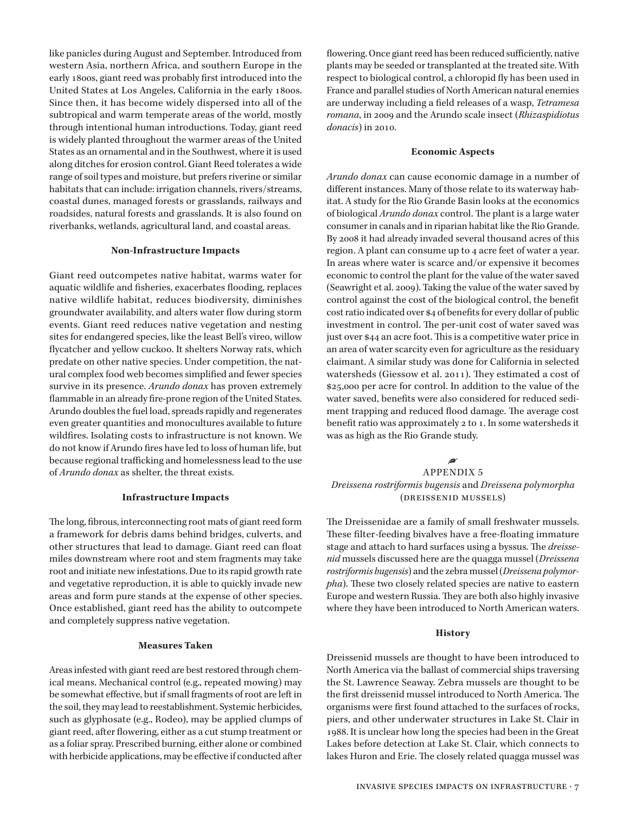like panicles during August and September. Introduced from western Asia, northern Africa, and southern Europe in the early 1800s, giant reed was probably first introduced into the United States at Los Angeles, California in the early 1800s. Since then, it has become widely dispersed into all of the subtropical and warm temperate areas of the world, mostly through intentional human introductions. Today, giant reed is widely planted throughout the warmer areas of the United States as an ornamental and in the Southwest, where it is used along ditches for erosion control. Giant Reed tolerates a wide range of soil types and moisture, but prefers riverine or similar habitats that can include: irrigation channels, rivers/streams, coastal dunes, managed forests or grasslands, railways and roadsides, natural forests and grasslands. It is also found on riverbanks, wetlands, agricultural land, and coastal areas.

## **Non-Infrastructure Impacts**

Giant reed outcompetes native habitat, warms water for aquatic wildlife and fisheries, exacerbates flooding, replaces native wildlife habitat, reduces biodiversity, diminishes groundwater availability, and alters water flow during storm events. Giant reed reduces native vegetation and nesting sites for endangered species, like the least Bell's vireo, willow flycatcher and yellow cuckoo. It shelters Norway rats, which predate on other native species. Under competition, the natural complex food web becomes simplified and fewer species survive in its presence. *Arundo donax* has proven extremely flammable in an already fire-prone region of the United States. Arundo doubles the fuel load, spreads rapidly and regenerates even greater quantities and monocultures available to future wildfires. Isolating costs to infrastructure is not known. We do not know if Arundo fires have led to loss of human life, but because regional trafficking and homelessness lead to the use of *Arundo donax* as shelter, the threat exists.

## **Infrastructure Impacts**

The long, fibrous, interconnecting root mats of giant reed form a framework for debris dams behind bridges, culverts, and other structures that lead to damage. Giant reed can float miles downstream where root and stem fragments may take root and initiate new infestations. Due to its rapid growth rate and vegetative reproduction, it is able to quickly invade new areas and form pure stands at the expense of other species. Once established, giant reed has the ability to outcompete and completely suppress native vegetation.

## **Measures Taken**

Areas infested with giant reed are best restored through chemical means. Mechanical control (e.g., repeated mowing) may be somewhat effective, but if small fragments of root are left in the soil, they may lead to reestablishment. Systemic herbicides, such as glyphosate (e.g., Rodeo), may be applied clumps of giant reed, after flowering, either as a cut stump treatment or as a foliar spray. Prescribed burning, either alone or combined with herbicide applications, may be effective if conducted after

flowering. Once giant reed has been reduced sufficiently, native plants may be seeded or transplanted at the treated site. With respect to biological control, a chloropid fly has been used in France and parallel studies of North American natural enemies are underway including a field releases of a wasp, *Tetramesa romana*, in 2009 and the Arundo scale insect (*Rhizaspidiotus donacis*) in 2010.

## **Economic Aspects**

*Arundo donax* can cause economic damage in a number of different instances. Many of those relate to its waterway habitat. A study for the Rio Grande Basin looks at the economics of biological *Arundo donax* control. The plant is a large water consumer in canals and in riparian habitat like the Rio Grande. By 2008 it had already invaded several thousand acres of this region. A plant can consume up to 4 acre feet of water a year. In areas where water is scarce and/or expensive it becomes economic to control the plant for the value of the water saved (Seawright et al. 2009). Taking the value of the water saved by control against the cost of the biological control, the benefit cost ratio indicated over \$4 of benefits for every dollar of public investment in control. The per-unit cost of water saved was just over \$44 an acre foot. This is a competitive water price in an area of water scarcity even for agriculture as the residuary claimant. A similar study was done for California in selected watersheds (Giessow et al. 2011). They estimated a cost of \$25,000 per acre for control. In addition to the value of the water saved, benefits were also considered for reduced sediment trapping and reduced flood damage. The average cost benefit ratio was approximately 2 to 1. In some watersheds it was as high as the Rio Grande study.

## •

# APPENDIX 5 *Dreissena rostriformis bugensis* and *Dreissena polymorpha* (dreissenid mussels)

The Dreissenidae are a family of small freshwater mussels. These filter-feeding bivalves have a free-floating immature stage and attach to hard surfaces using a byssus. The *dreissenid* mussels discussed here are the quagga mussel (*Dreissena rostriformis bugensis*) and the zebra mussel (*Dreissena polymorpha*). These two closely related species are native to eastern Europe and western Russia. They are both also highly invasive where they have been introduced to North American waters.

## **History**

Dreissenid mussels are thought to have been introduced to North America via the ballast of commercial ships traversing the St. Lawrence Seaway. Zebra mussels are thought to be the first dreissenid mussel introduced to North America. The organisms were first found attached to the surfaces of rocks, piers, and other underwater structures in Lake St. Clair in 1988. It is unclear how long the species had been in the Great Lakes before detection at Lake St. Clair, which connects to lakes Huron and Erie. The closely related quagga mussel was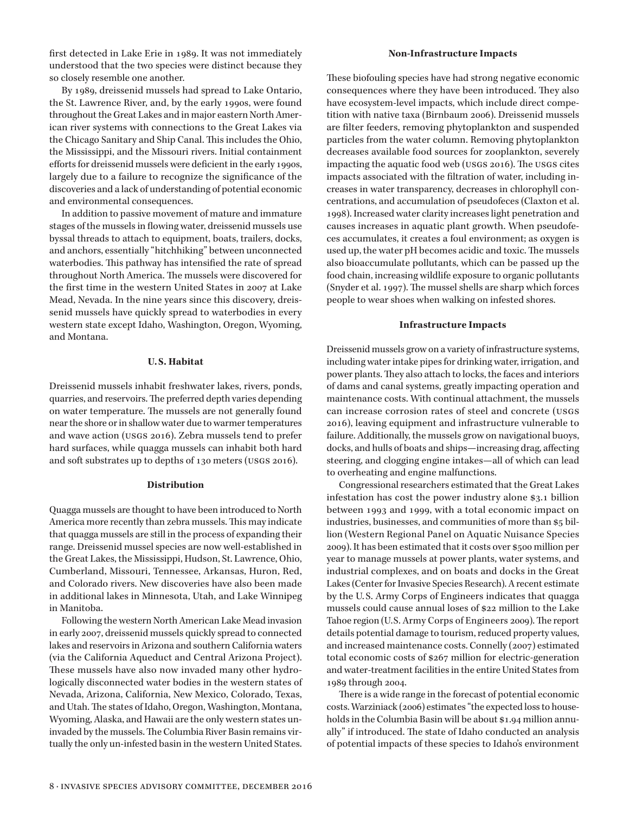first detected in Lake Erie in 1989. It was not immediately understood that the two species were distinct because they so closely resemble one another.

By 1989, dreissenid mussels had spread to Lake Ontario, the St. Lawrence River, and, by the early 1990s, were found throughout the Great Lakes and in major eastern North American river systems with connections to the Great Lakes via the Chicago Sanitary and Ship Canal. This includes the Ohio, the Mississippi, and the Missouri rivers. Initial containment efforts for dreissenid mussels were deficient in the early 1990s, largely due to a failure to recognize the significance of the discoveries and a lack of understanding of potential economic and environmental consequences.

In addition to passive movement of mature and immature stages of the mussels in flowing water, dreissenid mussels use byssal threads to attach to equipment, boats, trailers, docks, and anchors, essentially "hitchhiking" between unconnected waterbodies. This pathway has intensified the rate of spread throughout North America. The mussels were discovered for the first time in the western United States in 2007 at Lake Mead, Nevada. In the nine years since this discovery, dreissenid mussels have quickly spread to waterbodies in every western state except Idaho, Washington, Oregon, Wyoming, and Montana.

# **U.S. Habitat**

Dreissenid mussels inhabit freshwater lakes, rivers, ponds, quarries, and reservoirs. The preferred depth varies depending on water temperature. The mussels are not generally found near the shore or in shallow water due to warmer temperatures and wave action (usgs 2016). Zebra mussels tend to prefer hard surfaces, while quagga mussels can inhabit both hard and soft substrates up to depths of 130 meters (usgs 2016).

#### **Distribution**

Quagga mussels are thought to have been introduced to North America more recently than zebra mussels. This may indicate that quagga mussels are still in the process of expanding their range. Dreissenid mussel species are now well-established in the Great Lakes, the Mississippi, Hudson, St. Lawrence, Ohio, Cumberland, Missouri, Tennessee, Arkansas, Huron, Red, and Colorado rivers. New discoveries have also been made in additional lakes in Minnesota, Utah, and Lake Winnipeg in Manitoba.

Following the western North American Lake Mead invasion in early 2007, dreissenid mussels quickly spread to connected lakes and reservoirs in Arizona and southern California waters (via the California Aqueduct and Central Arizona Project). These mussels have also now invaded many other hydrologically disconnected water bodies in the western states of Nevada, Arizona, California, New Mexico, Colorado, Texas, and Utah. The states of Idaho, Oregon, Washington, Montana, Wyoming, Alaska, and Hawaii are the only western states uninvaded by the mussels. The Columbia River Basin remains virtually the only un-infested basin in the western United States.

#### **Non-Infrastructure Impacts**

These biofouling species have had strong negative economic consequences where they have been introduced. They also have ecosystem-level impacts, which include direct competition with native taxa (Birnbaum 2006). Dreissenid mussels are filter feeders, removing phytoplankton and suspended particles from the water column. Removing phytoplankton decreases available food sources for zooplankton, severely impacting the aquatic food web (usgs 2016). The usgs cites impacts associated with the filtration of water, including increases in water transparency, decreases in chlorophyll concentrations, and accumulation of pseudofeces (Claxton et al. 1998). Increased water clarity increases light penetration and causes increases in aquatic plant growth. When pseudofeces accumulates, it creates a foul environment; as oxygen is used up, the water pH becomes acidic and toxic. The mussels also bioaccumulate pollutants, which can be passed up the food chain, increasing wildlife exposure to organic pollutants (Snyder et al. 1997). The mussel shells are sharp which forces people to wear shoes when walking on infested shores.

#### **Infrastructure Impacts**

Dreissenid mussels grow on a variety of infrastructure systems, including water intake pipes for drinking water, irrigation, and power plants. They also attach to locks, the faces and interiors of dams and canal systems, greatly impacting operation and maintenance costs. With continual attachment, the mussels can increase corrosion rates of steel and concrete (usgs 2016), leaving equipment and infrastructure vulnerable to failure. Additionally, the mussels grow on navigational buoys, docks, and hulls of boats and ships—increasing drag, affecting steering, and clogging engine intakes—all of which can lead to overheating and engine malfunctions.

Congressional researchers estimated that the Great Lakes infestation has cost the power industry alone \$3.1 billion between 1993 and 1999, with a total economic impact on industries, businesses, and communities of more than \$5 billion (Western Regional Panel on Aquatic Nuisance Species 2009). It has been estimated that it costs over \$500 million per year to manage mussels at power plants, water systems, and industrial complexes, and on boats and docks in the Great Lakes (Center for Invasive Species Research). A recent estimate by the U. S. Army Corps of Engineers indicates that quagga mussels could cause annual loses of \$22 million to the Lake Tahoe region (U.S. Army Corps of Engineers 2009). The report details potential damage to tourism, reduced property values, and increased maintenance costs. Connelly (2007) estimated total economic costs of \$267 million for electric-generation and water-treatment facilities in the entire United States from 1989 through 2004.

There is a wide range in the forecast of potential economic costs. Warziniack (2006) estimates "the expected loss to households in the Columbia Basin will be about \$1.94 million annually" if introduced. The state of Idaho conducted an analysis of potential impacts of these species to Idaho's environment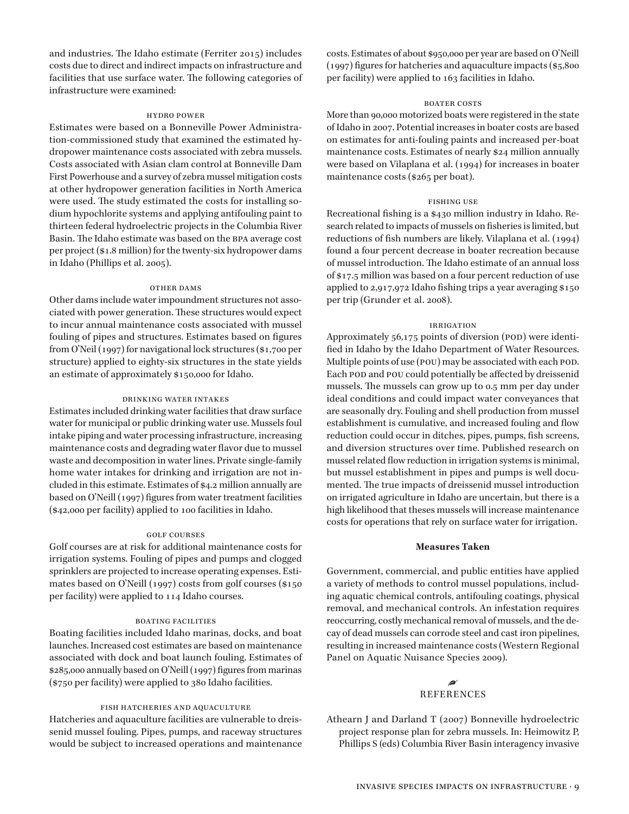and industries. The Idaho estimate (Ferriter 2015) includes costs due to direct and indirect impacts on infrastructure and facilities that use surface water. The following categories of infrastructure were examined:

#### hydro power

Estimates were based on a Bonneville Power Administration-commissioned study that examined the estimated hydropower maintenance costs associated with zebra mussels. Costs associated with Asian clam control at Bonneville Dam First Powerhouse and a survey of zebra mussel mitigation costs at other hydropower generation facilities in North America were used. The study estimated the costs for installing sodium hypochlorite systems and applying antifouling paint to thirteen federal hydroelectric projects in the Columbia River Basin. The Idaho estimate was based on the bpa average cost per project (\$1.8 million) for the twenty-six hydropower dams in Idaho (Phillips et al. 2005).

#### other dams

Other dams include water impoundment structures not associated with power generation. These structures would expect to incur annual maintenance costs associated with mussel fouling of pipes and structures. Estimates based on figures from O'Neil (1997) for navigational lock structures (\$1,700 per structure) applied to eighty-six structures in the state yields an estimate of approximately \$150,000 for Idaho.

#### drinking water intakes

Estimates included drinking water facilities that draw surface water for municipal or public drinking water use. Mussels foul intake piping and water processing infrastructure, increasing maintenance costs and degrading water flavor due to mussel waste and decomposition in water lines. Private single-family home water intakes for drinking and irrigation are not included in this estimate. Estimates of \$4.2 million annually are based on O'Neill (1997) figures from water treatment facilities (\$42,000 per facility) applied to 100 facilities in Idaho.

#### golf courses

Golf courses are at risk for additional maintenance costs for irrigation systems. Fouling of pipes and pumps and clogged sprinklers are projected to increase operating expenses. Estimates based on O'Neill (1997) costs from golf courses (\$150 per facility) were applied to 114 Idaho courses.

## boating facilities

Boating facilities included Idaho marinas, docks, and boat launches. Increased cost estimates are based on maintenance associated with dock and boat launch fouling. Estimates of \$285,000 annually based on O'Neill (1997) figures from marinas (\$750 per facility) were applied to 380 Idaho facilities.

#### fish hatcheries and aquaculture

Hatcheries and aquaculture facilities are vulnerable to dreissenid mussel fouling. Pipes, pumps, and raceway structures would be subject to increased operations and maintenance costs. Estimates of about \$950,000 per year are based on O'Neill (1997) figures for hatcheries and aquaculture impacts (\$5,800 per facility) were applied to 163 facilities in Idaho.

#### **BOATER COSTS**

More than 90,000 motorized boats were registered in the state of Idaho in 2007. Potential increases in boater costs are based on estimates for anti-fouling paints and increased per-boat maintenance costs. Estimates of nearly \$24 million annually were based on Vilaplana et al. (1994) for increases in boater maintenance costs (\$265 per boat).

#### fishing use

Recreational fishing is a \$430 million industry in Idaho. Research related to impacts of mussels on fisheries is limited, but reductions of fish numbers are likely. Vilaplana et al. (1994) found a four percent decrease in boater recreation because of mussel introduction. The Idaho estimate of an annual loss of \$17.5 million was based on a four percent reduction of use applied to 2,917,972 Idaho fishing trips a year averaging \$150 per trip (Grunder et al. 2008).

#### **IRRIGATION**

Approximately 56,175 points of diversion (POD) were identified in Idaho by the Idaho Department of Water Resources. Multiple points of use (POU) may be associated with each POD. Each pod and pou could potentially be affected by dreissenid mussels. The mussels can grow up to 0.5 mm per day under ideal conditions and could impact water conveyances that are seasonally dry. Fouling and shell production from mussel establishment is cumulative, and increased fouling and flow reduction could occur in ditches, pipes, pumps, fish screens, and diversion structures over time. Published research on mussel related flow reduction in irrigation systems is minimal, but mussel establishment in pipes and pumps is well documented. The true impacts of dreissenid mussel introduction on irrigated agriculture in Idaho are uncertain, but there is a high likelihood that theses mussels will increase maintenance costs for operations that rely on surface water for irrigation.

## **Measures Taken**

Government, commercial, and public entities have applied a variety of methods to control mussel populations, including aquatic chemical controls, antifouling coatings, physical removal, and mechanical controls. An infestation requires reoccurring, costly mechanical removal of mussels, and the decay of dead mussels can corrode steel and cast iron pipelines, resulting in increased maintenance costs (Western Regional Panel on Aquatic Nuisance Species 2009).

# • **REFERENCES**

Athearn J and Darland T (2007) Bonneville hydroelectric project response plan for zebra mussels. In: Heimowitz P, Phillips S (eds) Columbia River Basin interagency invasive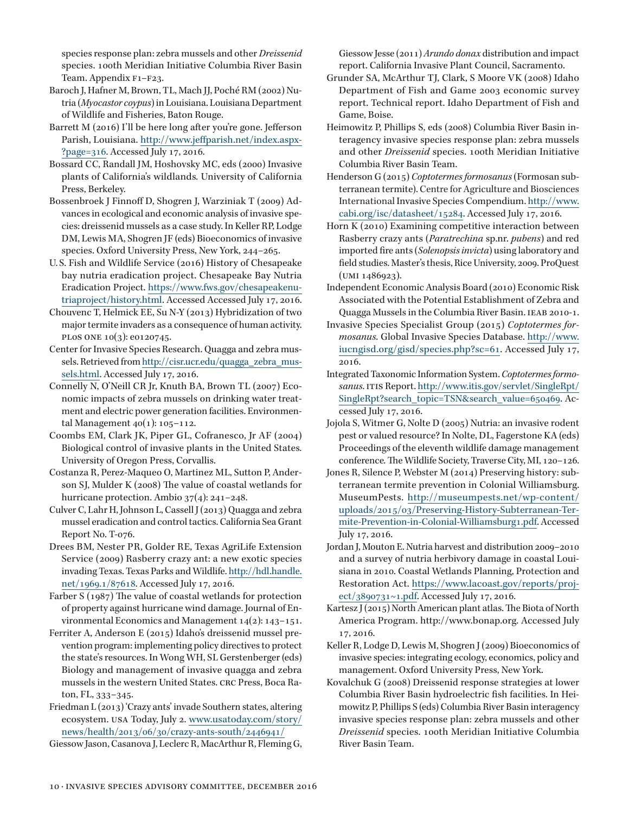species response plan: zebra mussels and other *Dreissenid*  species. 100th Meridian Initiative Columbia River Basin Team. Appendix F1-F23.

- Baroch J, Hafner M, Brown, TL, Mach JJ, Poché RM (2002) Nutria (*Myocastor coypus*) in Louisiana. Louisiana Department of Wildlife and Fisheries, Baton Rouge.
- Barrett M (2016) I'll be here long after you're gone. Jefferson Parish, Louisiana. [http://www.jeffparish.net/index.aspx-](http://www.jeffparish.net/index.aspx?page=316) [?page=316](http://www.jeffparish.net/index.aspx?page=316). Accessed July 17, 2016.
- Bossard CC, Randall JM, Hoshovsky MC, eds (2000) Invasive plants of California's wildlands*.* University of California Press, Berkeley.
- Bossenbroek J Finnoff D, Shogren J, Warziniak T (2009) Advances in ecological and economic analysis of invasive species: dreissenid mussels as a case study. In Keller RP, Lodge DM, Lewis MA, Shogren JF (eds) Bioeconomics of invasive species. Oxford University Press, New York, 244–265.
- U. S. Fish and Wildlife Service (2016) History of Chesapeake bay nutria eradication project. Chesapeake Bay Nutria Eradication Project. [https://www.fws.gov/chesapeakenu](https://www.fws.gov/chesapeakenutriaproject/history.html)[triaproject/history.html.](https://www.fws.gov/chesapeakenutriaproject/history.html) Accessed Accessed July 17, 2016.
- Chouvenc T, Helmick EE, Su N-Y (2013) Hybridization of two major termite invaders as a consequence of human activity. plos one 10(3): e0120745.
- Center for Invasive Species Research. Quagga and zebra mussels. Retrieved from [http://cisr.ucr.edu/quagga\\_zebra\\_mus](http://cisr.ucr.edu/quagga_zebra_mussels.html)[sels.html.](http://cisr.ucr.edu/quagga_zebra_mussels.html) Accessed July 17, 2016.
- Connelly N, O'Neill CR Jr, Knuth BA, Brown TL (2007) Economic impacts of zebra mussels on drinking water treatment and electric power generation facilities. Environmental Management 40(1): 105–112.
- Coombs EM, Clark JK, Piper GL, Cofranesco, Jr AF (2004) Biological control of invasive plants in the United States*.* University of Oregon Press, Corvallis.
- Costanza R, Perez-Maqueo O, Martinez ML, Sutton P, Anderson SJ, Mulder K (2008) The value of coastal wetlands for hurricane protection. Ambio 37(4): 241–248.
- Culver C, Lahr H, Johnson L, Cassell J (2013) Quagga and zebra mussel eradication and control tactics. California Sea Grant Report No. T-076.
- Drees BM, Nester PR, Golder RE, Texas AgriLife Extension Service (2009) Rasberry crazy ant: a new exotic species invading Texas. Texas Parks and Wildlife. [http://hdl.handle.](http://hdl.handle.net/1969.1/87618) [net/1969.1/87618.](http://hdl.handle.net/1969.1/87618) Accessed July 17, 2016.
- Farber S (1987) The value of coastal wetlands for protection of property against hurricane wind damage. Journal of Environmental Economics and Management 14(2): 143–151.
- Ferriter A, Anderson E (2015) Idaho's dreissenid mussel prevention program: implementing policy directives to protect the state's resources. In Wong WH, SL Gerstenberger (eds) Biology and management of invasive quagga and zebra mussels in the western United States. crc Press, Boca Raton, FL, 333–345.
- Friedman L (2013) 'Crazy ants' invade Southern states, altering ecosystem. usa Today, July 2. [www.usatoday.com/story/](http://www.usatoday.com/story/news/health/2013/06/30/crazy-ants-south/2446941/) [news/health/2013/06/30/crazy-ants-south/2446941/](http://www.usatoday.com/story/news/health/2013/06/30/crazy-ants-south/2446941/)
- Giessow Jason, Casanova J, Leclerc R, MacArthur R, Fleming G,

Giessow Jesse (2011) *Arundo donax* distribution and impact report. California Invasive Plant Council, Sacramento.

- Grunder SA, McArthur TJ, Clark, S Moore VK (2008) Idaho Department of Fish and Game 2003 economic survey report. Technical report. Idaho Department of Fish and Game, Boise.
- Heimowitz P, Phillips S, eds (2008) Columbia River Basin interagency invasive species response plan: zebra mussels and other *Dreissenid* species. 100th Meridian Initiative Columbia River Basin Team.
- Henderson G (2015) *Coptotermes formosanus* (Formosan subterranean termite). Centre for Agriculture and Biosciences International Invasive Species Compendium. [http://www.](http://www.cabi.org/isc/datasheet/15284) [cabi.org/isc/datasheet/15284.](http://www.cabi.org/isc/datasheet/15284) Accessed July 17, 2016.
- Horn K (2010) Examining competitive interaction between Rasberry crazy ants (*Paratrechina* sp.nr. *pubens*) and red imported fire ants (*Solenopsis invicta*) using laboratory and field studies. Master's thesis, Rice University, 2009. ProQuest (umi 1486923).
- Independent Economic Analysis Board (2010) Economic Risk Associated with the Potential Establishment of Zebra and Quagga Mussels in the Columbia River Basin. ieab 2010-1.
- Invasive Species Specialist Group (2015) *Coptotermes formosanus*. Global Invasive Species Database. [http://www.](http://www.iucngisd.org/gisd/species.php?sc=61) [iucngisd.org/gisd/species.php?sc=61.](http://www.iucngisd.org/gisd/species.php?sc=61) Accessed July 17, 2016.
- Integrated Taxonomic Information System. *Coptotermes formosanus*. itis Report. [http://www.itis.gov/servlet/SingleRpt/](http://www.itis.gov/servlet/SingleRpt/SingleRpt?search_topic=TSN&search_value=650469) [SingleRpt?search\\_topic=TSN&search\\_value=650469.](http://www.itis.gov/servlet/SingleRpt/SingleRpt?search_topic=TSN&search_value=650469) Accessed July 17, 2016.
- Jojola S, Witmer G, Nolte D (2005) Nutria: an invasive rodent pest or valued resource? In Nolte, DL, Fagerstone KA (eds) Proceedings of the eleventh wildlife damage management conference*.* The Wildlife Society, Traverse City, MI, 120–126.
- Jones R, Silence P, Webster M (2014) Preserving history: subterranean termite prevention in Colonial Williamsburg. MuseumPests. [http://museumpests.net/wp-content/](http://museumpests.net/wp-content/uploads/2015/03/Preserving-History-Subterranean-Termite-Prevention-in-Colonial-Williamsburg1.pdf) [uploads/2015/03/Preserving-History-Subterranean-Ter](http://museumpests.net/wp-content/uploads/2015/03/Preserving-History-Subterranean-Termite-Prevention-in-Colonial-Williamsburg1.pdf)[mite-Prevention-in-Colonial-Williamsburg1.pdf.](http://museumpests.net/wp-content/uploads/2015/03/Preserving-History-Subterranean-Termite-Prevention-in-Colonial-Williamsburg1.pdf) Accessed July 17, 2016.
- Jordan J, Mouton E. Nutria harvest and distribution 2009–2010 and a survey of nutria herbivory damage in coastal Louisiana in 2010. Coastal Wetlands Planning, Protection and Restoration Act. [https://www.lacoast.gov/reports/proj](https://www.lacoast.gov/reports/project/3890731~1.pdf)[ect/3890731~1.pdf](https://www.lacoast.gov/reports/project/3890731~1.pdf). Accessed July 17, 2016.
- Kartesz J (2015) North American plant atlas. The Biota of North America Program. http://www.bonap.org. Accessed July 17, 2016.
- Keller R, Lodge D, Lewis M, Shogren J (2009) Bioeconomics of invasive species: integrating ecology, economics, policy and management. Oxford University Press, New York.
- Kovalchuk G (2008) Dreissenid response strategies at lower Columbia River Basin hydroelectric fish facilities. In Heimowitz P, Phillips S (eds) Columbia River Basin interagency invasive species response plan: zebra mussels and other *Dreissenid* species. 100th Meridian Initiative Columbia River Basin Team.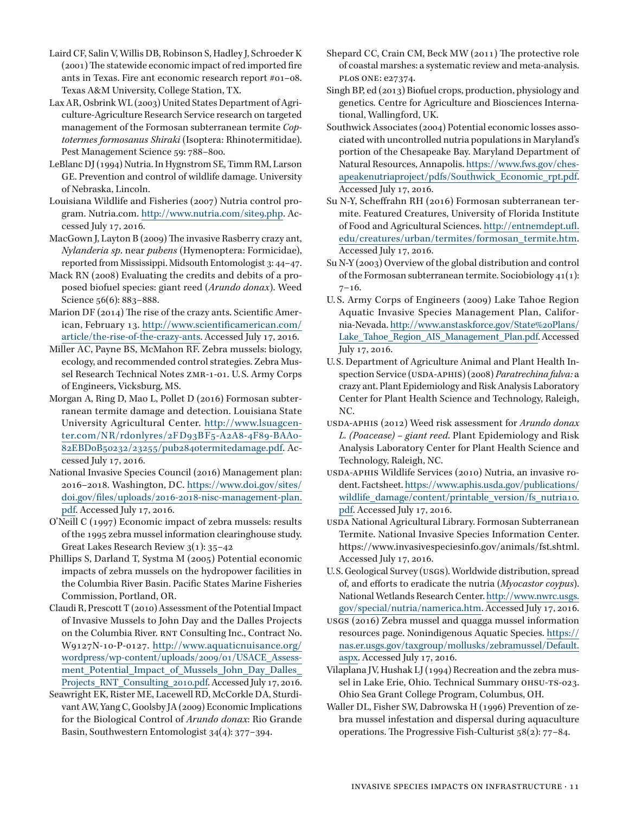- Laird CF, Salin V, Willis DB, Robinson S, Hadley J, Schroeder K (2001) The statewide economic impact of red imported fire ants in Texas. Fire ant economic research report #01–08. Texas A&M University, College Station, TX.
- Lax AR, Osbrink WL (2003) United States Department of Agriculture-Agriculture Research Service research on targeted management of the Formosan subterranean termite *Coptotermes formosanus Shiraki* (Isoptera: Rhinotermitidae). Pest Management Science 59: 788–800.
- LeBlanc DJ (1994) Nutria. In Hygnstrom SE, Timm RM, Larson GE. Prevention and control of wildlife damage. University of Nebraska, Lincoln.
- Louisiana Wildlife and Fisheries (2007) Nutria control program. Nutria.com. [http://www.nutria.com/site9.php.](http://www.nutria.com/site9.php) Accessed July 17, 2016.
- MacGown J, Layton B (2009) The invasive Rasberry crazy ant, *Nylanderia sp*. near *pubens* (Hymenoptera: Formicidae), reported from Mississippi. Midsouth Entomologist 3: 44–47.
- Mack RN (2008) Evaluating the credits and debits of a proposed biofuel species: giant reed (*Arundo donax*). Weed Science 56(6): 883-888.
- Marion DF (2014) The rise of the crazy ants. Scientific American, February 13. [http://www.scientificamerican.com/](http://www.scientificamerican.com/article/the-rise-of-the-crazy-ants) [article/the-rise-of-the-crazy-ants](http://www.scientificamerican.com/article/the-rise-of-the-crazy-ants). Accessed July 17, 2016.
- Miller AC, Payne BS, McMahon RF. Zebra mussels: biology, ecology, and recommended control strategies. Zebra Mussel Research Technical Notes ZMR-1-01. U.S. Army Corps of Engineers, Vicksburg, MS.
- Morgan A, Ring D, Mao L, Pollet D (2016) Formosan subterranean termite damage and detection. Louisiana State University Agricultural Center. [http://www.lsuagcen](http://www.lsuagcenter.com/NR/rdonlyres/2FD93BF5-A2A8-4F89-BAA0-82EBD0B50232/23255/pub2840termitedamage.pdf)[ter.com/NR/rdonlyres/2FD93BF5-A2A8-4F89-BAA0-](http://www.lsuagcenter.com/NR/rdonlyres/2FD93BF5-A2A8-4F89-BAA0-82EBD0B50232/23255/pub2840termitedamage.pdf) [82EBD0B50232/23255/pub2840termitedamage.pdf](http://www.lsuagcenter.com/NR/rdonlyres/2FD93BF5-A2A8-4F89-BAA0-82EBD0B50232/23255/pub2840termitedamage.pdf). Accessed July 17, 2016.
- National Invasive Species Council (2016) Management plan: 2016–2018. Washington, DC. [https://www.doi.gov/sites/](https://www.doi.gov/sites/doi.gov/files/uploads/2016-2018-nisc-management-plan.pdf) [doi.gov/files/uploads/2016-2018-nisc-management-plan.](https://www.doi.gov/sites/doi.gov/files/uploads/2016-2018-nisc-management-plan.pdf) [pdf.](https://www.doi.gov/sites/doi.gov/files/uploads/2016-2018-nisc-management-plan.pdf) Accessed July 17, 2016.
- O'Neill C (1997) Economic impact of zebra mussels: results of the 1995 zebra mussel information clearinghouse study. Great Lakes Research Review 3(1): 35–42
- Phillips S, Darland T, Systma M (2005) Potential economic impacts of zebra mussels on the hydropower facilities in the Columbia River Basin. Pacific States Marine Fisheries Commission, Portland, OR.
- Claudi R, Prescott T (2010) Assessment of the Potential Impact of Invasive Mussels to John Day and the Dalles Projects on the Columbia River. RNT Consulting Inc., Contract No. W9127N-10-P-0127. [http://www.aquaticnuisance.org/](http://www.aquaticnuisance.org/wordpress/wp-content/uploads/2009/01/USACE_Assessment_Potential_Impact_of_Mussels_John_Day_Dalles_Projects_RNT_Consulting_2010.pdf) [wordpress/wp-content/uploads/2009/01/USACE\\_Assess](http://www.aquaticnuisance.org/wordpress/wp-content/uploads/2009/01/USACE_Assessment_Potential_Impact_of_Mussels_John_Day_Dalles_Projects_RNT_Consulting_2010.pdf)ment Potential Impact of Mussels John Day Dalles [Projects\\_RNT\\_Consulting\\_2010.pdf](http://www.aquaticnuisance.org/wordpress/wp-content/uploads/2009/01/USACE_Assessment_Potential_Impact_of_Mussels_John_Day_Dalles_Projects_RNT_Consulting_2010.pdf). Accessed July 17, 2016.
- Seawright EK, Rister ME, Lacewell RD, McCorkle DA, Sturdivant AW, Yang C, Goolsby JA (2009) Economic Implications for the Biological Control of *Arundo donax*: Rio Grande Basin, Southwestern Entomologist 34(4): 377–394.
- Shepard CC, Crain CM, Beck MW (2011) The protective role of coastal marshes: a systematic review and meta-analysis. plos one: e27374.
- Singh BP, ed (2013) Biofuel crops, production, physiology and genetics*.* Centre for Agriculture and Biosciences International, Wallingford, UK.
- Southwick Associates (2004) Potential economic losses associated with uncontrolled nutria populations in Maryland's portion of the Chesapeake Bay. Maryland Department of Natural Resources, Annapolis. [https://www.fws.gov/ches](https://www.fws.gov/chesapeakenutriaproject/pdfs/Southwick_Economic_rpt.pdf)[apeakenutriaproject/pdfs/Southwick\\_Economic\\_rpt.pdf.](https://www.fws.gov/chesapeakenutriaproject/pdfs/Southwick_Economic_rpt.pdf) Accessed July 17, 2016.
- Su N-Y, Scheffrahn RH (2016) Formosan subterranean termite. Featured Creatures, University of Florida Institute of Food and Agricultural Sciences. [http://entnemdept.ufl.](http://entnemdept.ufl.edu/creatures/urban/termites/formosan_termite.htm. Accessed July 17, 2016) [edu/creatures/urban/termites/formosan\\_termite.htm.](http://entnemdept.ufl.edu/creatures/urban/termites/formosan_termite.htm. Accessed July 17, 2016) Accessed July 17, 2016.
- Su N-Y (2003) Overview of the global distribution and control of the Formosan subterranean termite. Sociobiology 41(1):  $7 - 16.$
- U. S. Army Corps of Engineers (2009) Lake Tahoe Region Aquatic Invasive Species Management Plan, California-Nevada. [http://www.anstaskforce.gov/State%20Plans/](http://www.anstaskforce.gov/State Plans/Lake_Tahoe_Region_AIS_Management_Plan.pdf) Lake Tahoe Region AIS Management Plan.pdf. Accessed July 17, 2016.
- U. S. Department of Agriculture Animal and Plant Health Inspection Service (USDA-APHIS) (2008) *Paratrechina fulva:* a crazy ant. Plant Epidemiology and Risk Analysis Laboratory Center for Plant Health Science and Technology, Raleigh,  $N<sub>C</sub>$
- USDA-APHIS (2012) Weed risk assessment for *Arundo donax L. (Poacease) – giant reed*. Plant Epidemiology and Risk Analysis Laboratory Center for Plant Health Science and Technology, Raleigh, NC.
- USDA-APHIS Wildlife Services (2010) Nutria, an invasive rodent. Factsheet. [https://www.aphis.usda.gov/publications/](https://www.aphis.usda.gov/publications/wildlife_damage/content/printable_version/fs_nutria10.pdf) [wildlife\\_damage/content/printable\\_version/fs\\_nutria10.](https://www.aphis.usda.gov/publications/wildlife_damage/content/printable_version/fs_nutria10.pdf) [pdf.](https://www.aphis.usda.gov/publications/wildlife_damage/content/printable_version/fs_nutria10.pdf) Accessed July 17, 2016.
- usda National Agricultural Library. Formosan Subterranean Termite. National Invasive Species Information Center. https://www.invasivespeciesinfo.gov/animals/fst.shtml. Accessed July 17, 2016.
- U.S. Geological Survey (usgs). Worldwide distribution, spread of, and efforts to eradicate the nutria (*Myocastor coypus*). National Wetlands Research Center. [http://www.nwrc.usgs.](http://www.nwrc.usgs.gov/special/nutria/namerica.htm) [gov/special/nutria/namerica.htm.](http://www.nwrc.usgs.gov/special/nutria/namerica.htm) Accessed July 17, 2016.
- usgs (2016) Zebra mussel and quagga mussel information resources page. Nonindigenous Aquatic Species. [https://](https://nas.er.usgs.gov/taxgroup/mollusks/zebramussel/Default.aspx) [nas.er.usgs.gov/taxgroup/mollusks/zebramussel/Default.](https://nas.er.usgs.gov/taxgroup/mollusks/zebramussel/Default.aspx) [aspx.](https://nas.er.usgs.gov/taxgroup/mollusks/zebramussel/Default.aspx) Accessed July 17, 2016.
- Vilaplana JV, Hushak LJ (1994) Recreation and the zebra mussel in Lake Erie, Ohio. Technical Summary OHSU-TS-023. Ohio Sea Grant College Program, Columbus, OH.
- Waller DL, Fisher SW, Dabrowska H (1996) Prevention of zebra mussel infestation and dispersal during aquaculture operations. The Progressive Fish-Culturist 58(2): 77–84.